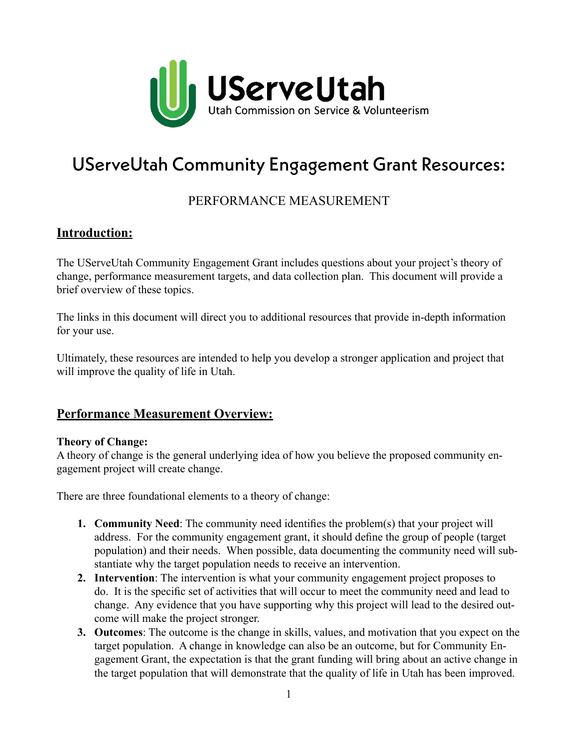

# UServeUtah Community Engagement Grant Resources:

## PERFORMANCE MEASUREMENT

## **Introduction:**

The UServeUtah Community Engagement Grant includes questions about your project's theory of change, performance measurement targets, and data collection plan. This document will provide a brief overview of these topics.

The links in this document will direct you to additional resources that provide in-depth information for your use.

Ultimately, these resources are intended to help you develop a stronger application and project that will improve the quality of life in Utah.

### **Performance Measurement Overview:**

#### **Theory of Change:**

A theory of change is the general underlying idea of how you believe the proposed community engagement project will create change.

There are three foundational elements to a theory of change:

- **1. Community Need**: The community need identifies the problem(s) that your project will address. For the community engagement grant, it should define the group of people (target population) and their needs. When possible, data documenting the community need will substantiate why the target population needs to receive an intervention.
- **2. Intervention**: The intervention is what your community engagement project proposes to do. It is the specific set of activities that will occur to meet the community need and lead to change. Any evidence that you have supporting why this project will lead to the desired outcome will make the project stronger.
- **3. Outcomes**: The outcome is the change in skills, values, and motivation that you expect on the target population. A change in knowledge can also be an outcome, but for Community Engagement Grant, the expectation is that the grant funding will bring about an active change in the target population that will demonstrate that the quality of life in Utah has been improved.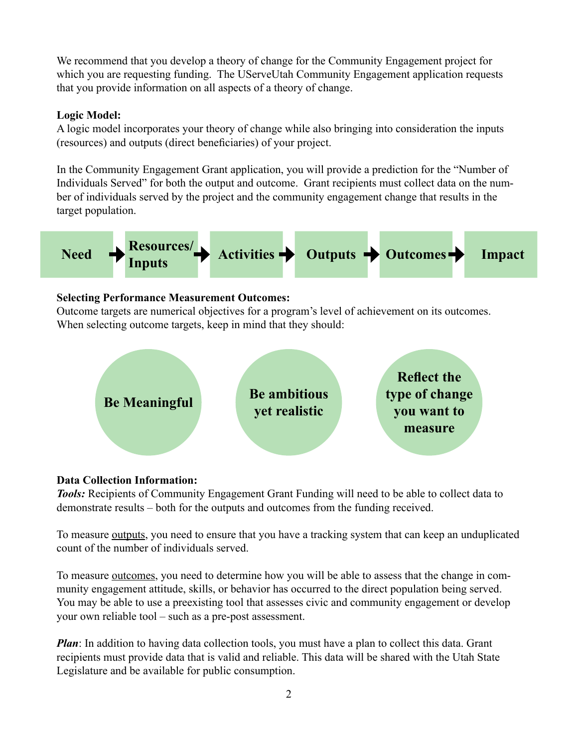We recommend that you develop a theory of change for the Community Engagement project for which you are requesting funding. The UServeUtah Community Engagement application requests that you provide information on all aspects of a theory of change.

#### **Logic Model:**

A logic model incorporates your theory of change while also bringing into consideration the inputs (resources) and outputs (direct beneficiaries) of your project.

In the Community Engagement Grant application, you will provide a prediction for the "Number of Individuals Served" for both the output and outcome. Grant recipients must collect data on the number of individuals served by the project and the community engagement change that results in the target population.



#### **Selecting Performance Measurement Outcomes:**

Outcome targets are numerical objectives for a program's level of achievement on its outcomes. When selecting outcome targets, keep in mind that they should:



#### **Data Collection Information:**

*Tools:* Recipients of Community Engagement Grant Funding will need to be able to collect data to demonstrate results – both for the outputs and outcomes from the funding received.

To measure <u>outputs</u>, you need to ensure that you have a tracking system that can keep an unduplicated count of the number of individuals served.

To measure <u>outcomes</u>, you need to determine how you will be able to assess that the change in community engagement attitude, skills, or behavior has occurred to the direct population being served. You may be able to use a preexisting tool that assesses civic and community engagement or develop your own reliable tool – such as a pre-post assessment.

*Plan*: In addition to having data collection tools, you must have a plan to collect this data. Grant recipients must provide data that is valid and reliable. This data will be shared with the Utah State Legislature and be available for public consumption.